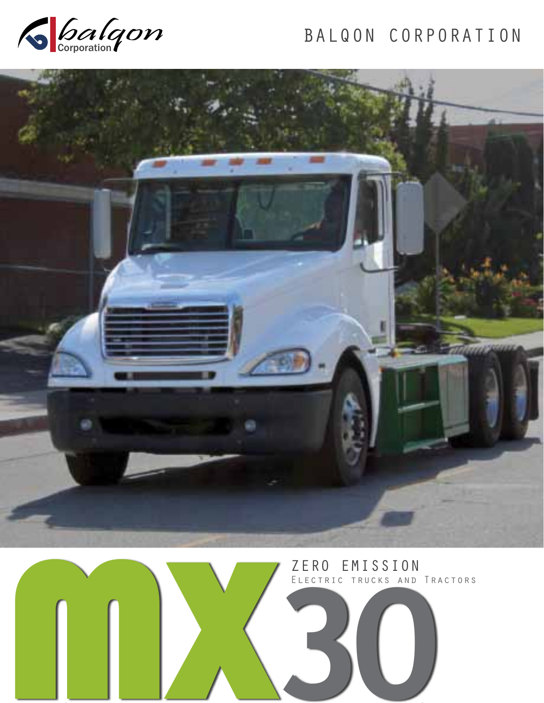

# BALQON CORPORATION



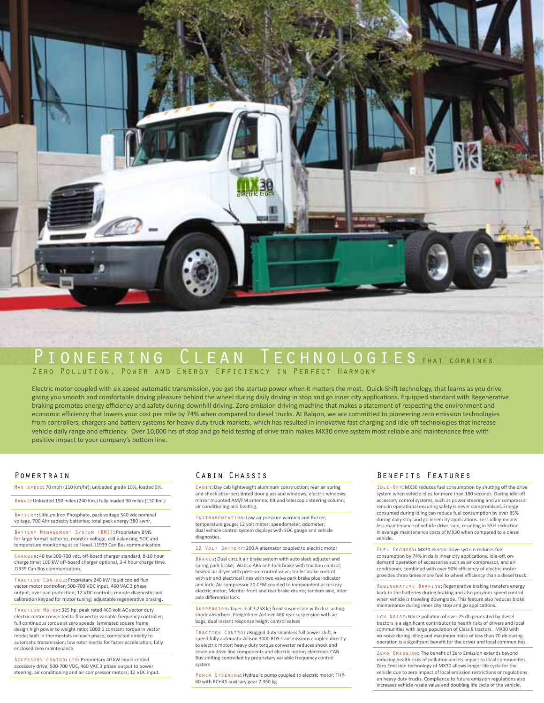

### PIONEERING CLEAN TECHNOLOGIES THAT COMBINES Zero Pollution, Power and Energy Efficiency in Perfect Harmony

Electric motor coupled with six speed automatic transmission, you get the startup power when it matters the most. Quick-Shift technology, that learns as you drive giving you smooth and comfortable driving pleasure behind the wheel during daily driving in stop and go inner city applications. Equipped standard with Regenerative braking promotes energy efficiency and safety during downhill driving. Zero emission driving machine that makes a statement of respecting the environment and economic efficiency that lowers your cost per mile by 74% when compared to diesel trucks. At Balqon, we are committed to pioneering zero emission technologies from controllers, chargers and battery systems for heavy duty truck markets, which has resulted in innovative fast charging and idle-off technologies that increase vehicle daily range and efficiency. Over 10,000 hrs of stop and go field testing of drive train makes MX30 drive system most reliable and maintenance free with positive impact to your company's bottom line.

#### **POWERTRAIN**

Max speed: 70 mph (110 Km/hr); unloaded grade 10%, loaded 5%.

Range**:** Unloaded 150 miles (240 Km.) fully loaded 90 miles (150 Km.)

BATTERY: Lithium Iron Phosphate, pack voltage 540 vdc nominal voltage, 700 Ahr capacity batteries; total pack energy 380 kwhr.

Battery Management System (BMS)**:** Proprietary BMS for large format batteries, monitor voltage, cell balancing, SOC and temperature monitoring at cell level. J1939 Can Bus communication.

Charger**:** 40 kw 300-700 vdc, off-board charger standard, 8-10 hour charge time; 100 kW off-board charger optional, 3-4 hour charge time. J1939 Can Bus communication.

Traction Control**:** Proprietary 240 kW liquid cooled flux vector motor controller; 500-700 VDC input, 460 VAC 3 phase output; overload protection; 12 VDC controls; remote diagnostic and calibration keypad for motor tuning; adjustable regenerative braking**.**

Traction Motor**:** 325 hp. peak rated 460 volt AC vector duty electric motor connected to flux vector variable frequency controller; full continuous torque at zero speeds; laminated square frame design,high power to weight ratio; 1000:1 constant torque in vector mode; built in thermostats on each phase; connected directly to automatic transmission; low rotor inertia for faster acceleration; fully enclosed zero maintenance.

Accessory Controller**:** Proprietary 40 kW liquid cooled accessory drive; 500-700 VDC, 460 VAC 3 phase output to power steering, air conditioning and air compressor motors; 12 VDC input.

#### Cabin Chassis

CABIN: Day cab lightweight aluminum construction; rear air spring and shock absorber; tinted door glass and windows; electric windows; mirror mounted AM/FM antenna; tilt and telescopic steering column; air conditioning and heating.

Instrumentation**:** Low air pressure warning and Buzzer; temperature gauge; 12 volt meter; speedometer, odometer; dual vehicle control system displays with SOC gauge and vehicle diagnostics.

12 Volt Battery**:** 200 A alternator coupled to electric motor

Brakes**:** Dual circuit air brake system with auto slack adjuster and spring park brake; Wabco ABS anti-lock brake with traction control; heated air dryer with pressure control valve; trailer brake control with air and electrical lines with two valve park brake plus indicator and lock; Air compressor 20 CFM coupled to independent accessory electric motor; Meritor front and rear brake drums; tandem axle, inter axle differential lock.

Suspension**:** Taper-leaf 7,258 kg front suspension with dual acting shock absorbers; Freightliner Airliner 46K rear suspension with air bags, dual instant response height control valves

Traction Control**:** Rugged duty seamless full power shift, 6 speed fully automatic Allison 3000 RDS transmissions coupled directly to electric motor; heavy duty torque converter reduces shock and strain on drive line components and electric motor; electronic CAN Bus shifting controlled by proprietary variable frequency control system

Power Steering**:** Hydraulic pump coupled to electric motor; THP-60 with RCH45 auxiliary gear 7,350 kg

#### Benefits Features

IDLE - OFF: MX30 reduces fuel consumption by shutting off the drive system when vehicle idles for more than 180 seconds. During idle-off accessory control systems, such as power steering and air compressor remain operational ensuring safety is never compromised. Energy consumed during idling can reduce fuel consumption by over 85% during daily stop and go inner city applications. Less idling means less maintenance of vehicle drive train, resulting in 55% reduction in average maintenance costs of MX30 when compared to a diesel vehicle.

Fuel Economy**:** MX30 electric drive system reduces fuel consumption by 74% in daily inner city applications. Idle-off, ondemand operation of accessories such as air compressor, and air conditioner, combined with over 90% efficiency of electric motor provides three times more fuel to wheel efficiency than a diesel truck.

Regenerative Braking**:** Regenerative braking transfers energy back to the batteries during braking and also provides speed control when vehicle is traveling downgrade. This feature also reduces brake maintenance during inner city stop and go applications.

Low No<sub>ISE</sub>: Noise pollution of over 75 db generated by diesel tractors is a significant contributor to health risks of drivers and local communities with large population of Class 8 tractors. MX30 with no noise during idling and maximum noise of less than 70 db during operation is a significant benefit for the driver and local communities.

Zero Emission**:** The benefit of Zero Emission extends beyond reducing health risks of pollution and its impact to local communities. Zero Emission technology of MX30 allows longer life cycle for the vehicle due to zero impact of local emission restrictions or regulations on heavy duty trucks. Compliance to future emission regulations also increases vehicle resale value and doubling life cycle of the vehicle.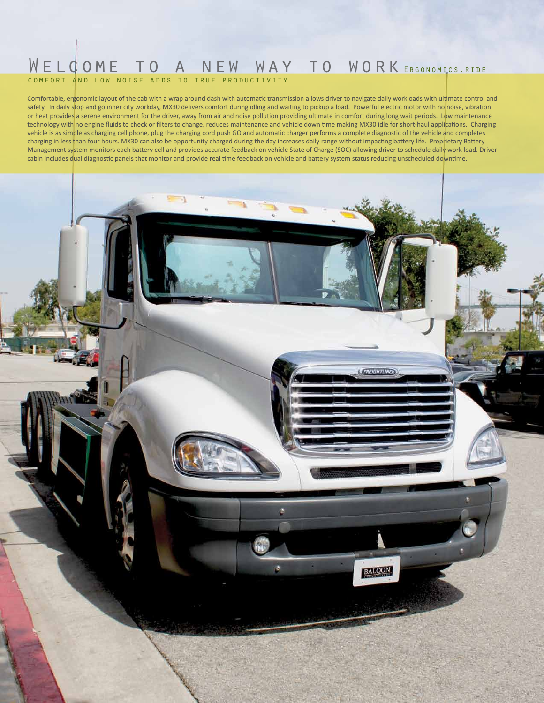### WELCOME TO A NEW WAY TO WORK ERGONOMICS, RIDE comfort and low noise adds to true productivity

Comfortable, ergonomic layout of the cab with a wrap around dash with automatic transmission allows driver to navigate daily workloads with ultimate control and safety. In daily stop and go inner city workday, MX30 delivers comfort during idling and waiting to pickup a load. Powerful electric motor with no noise, vibration or heat provides a serene environment for the driver, away from air and noise pollution providing ultimate in comfort during long wait periods. Low maintenance technology with no engine fluids to check or filters to change, reduces maintenance and vehicle down time making MX30 idle for short-haul applications. Charging vehicle is as simple as charging cell phone, plug the charging cord push GO and automatic charger performs a complete diagnostic of the vehicle and completes charging in less than four hours. MX30 can also be opportunity charged during the day increases daily range without impacting battery life. Proprietary Battery Management system monitors each battery cell and provides accurate feedback on vehicle State of Charge (SOC) allowing driver to schedule daily work load. Driver cabin includes dual diagnostic panels that monitor and provide real time feedback on vehicle and battery system status reducing unscheduled downtime.